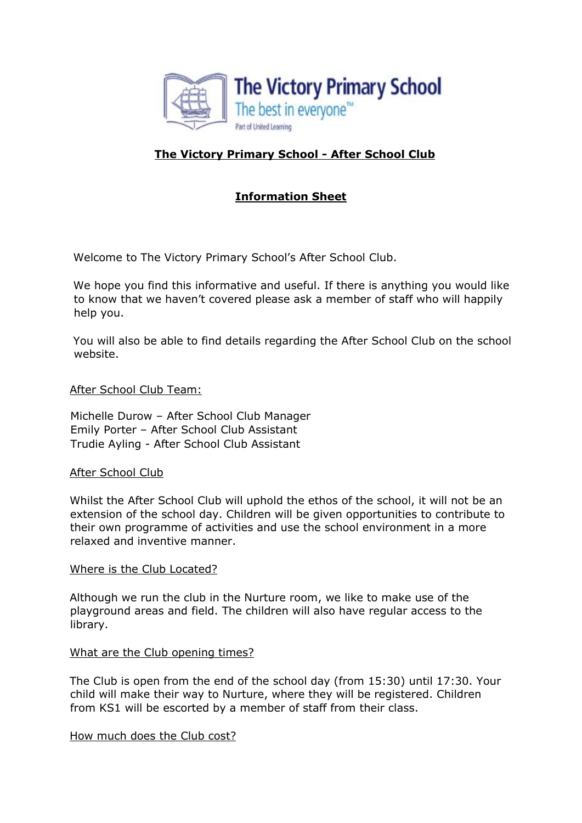

# **The Victory Primary School - After School Club**

# **Information Sheet**

Welcome to The Victory Primary School's After School Club.

We hope you find this informative and useful. If there is anything you would like to know that we haven't covered please ask a member of staff who will happily help you.

You will also be able to find details regarding the After School Club on the school website.

After School Club Team:

Michelle Durow – After School Club Manager Emily Porter – After School Club Assistant Trudie Ayling - After School Club Assistant

### After School Club

Whilst the After School Club will uphold the ethos of the school, it will not be an extension of the school day. Children will be given opportunities to contribute to their own programme of activities and use the school environment in a more relaxed and inventive manner.

### Where is the Club Located?

Although we run the club in the Nurture room, we like to make use of the playground areas and field. The children will also have regular access to the library.

### What are the Club opening times?

The Club is open from the end of the school day (from 15:30) until 17:30. Your child will make their way to Nurture, where they will be registered. Children from KS1 will be escorted by a member of staff from their class.

### How much does the Club cost?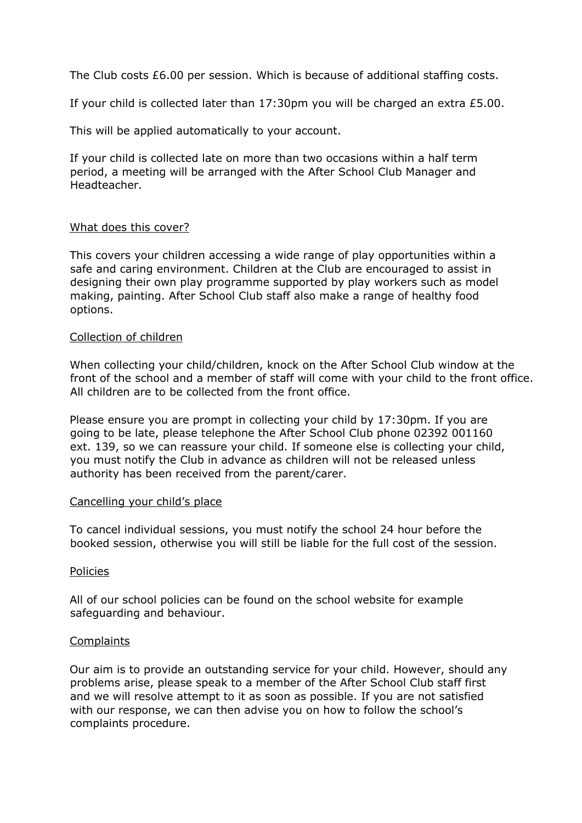The Club costs £6.00 per session. Which is because of additional staffing costs.

If your child is collected later than 17:30pm you will be charged an extra £5.00.

This will be applied automatically to your account.

If your child is collected late on more than two occasions within a half term period, a meeting will be arranged with the After School Club Manager and Headteacher.

## What does this cover?

This covers your children accessing a wide range of play opportunities within a safe and caring environment. Children at the Club are encouraged to assist in designing their own play programme supported by play workers such as model making, painting. After School Club staff also make a range of healthy food options.

## Collection of children

When collecting your child/children, knock on the After School Club window at the front of the school and a member of staff will come with your child to the front office. All children are to be collected from the front office.

Please ensure you are prompt in collecting your child by 17:30pm. If you are going to be late, please telephone the After School Club phone 02392 001160 ext. 139, so we can reassure your child. If someone else is collecting your child, you must notify the Club in advance as children will not be released unless authority has been received from the parent/carer.

### Cancelling your child's place

To cancel individual sessions, you must notify the school 24 hour before the booked session, otherwise you will still be liable for the full cost of the session.

## Policies

All of our school policies can be found on the school website for example safeguarding and behaviour.

# **Complaints**

Our aim is to provide an outstanding service for your child. However, should any problems arise, please speak to a member of the After School Club staff first and we will resolve attempt to it as soon as possible. If you are not satisfied with our response, we can then advise you on how to follow the school's complaints procedure.